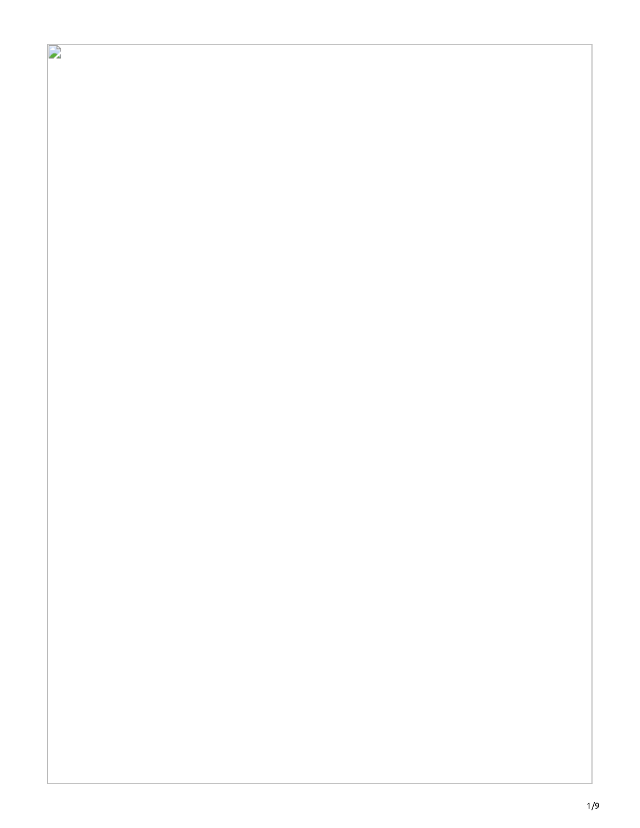

 $\overline{\phantom{a}}$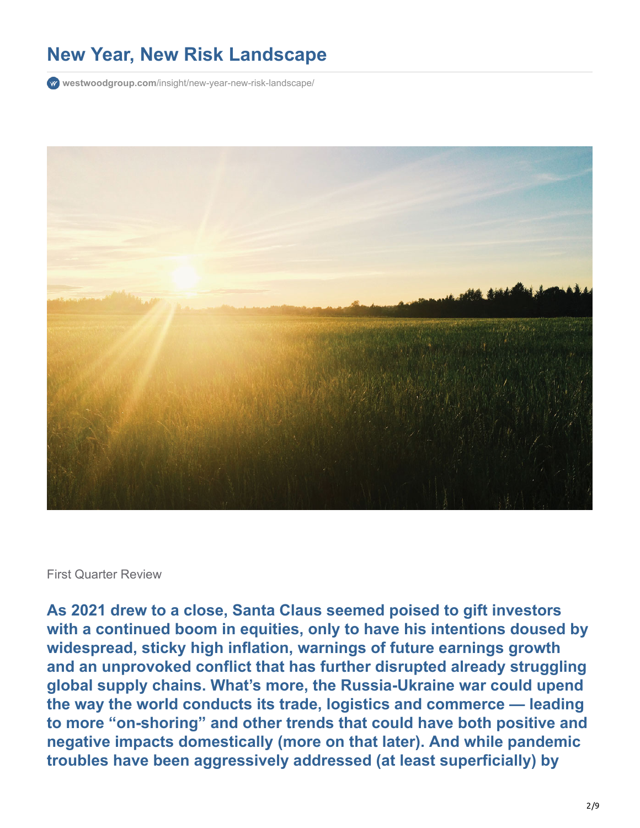# **New Year, New Risk Landscape**

**westwoodgroup.com**[/insight/new-year-new-risk-landscape/](https://westwoodgroup.com/insight/new-year-new-risk-landscape/)



First Quarter Review

**As 2021 drew to a close, Santa Claus seemed poised to gift investors with a continued boom in equities, only to have his intentions doused by widespread, sticky high inflation, warnings of future earnings growth and an unprovoked conflict that has further disrupted already struggling global supply chains. What's more, the Russia-Ukraine war could upend the way the world conducts its trade, logistics and commerce — leading to more "on-shoring" and other trends that could have both positive and negative impacts domestically (more on that later). And while pandemic troubles have been aggressively addressed (at least superficially) by**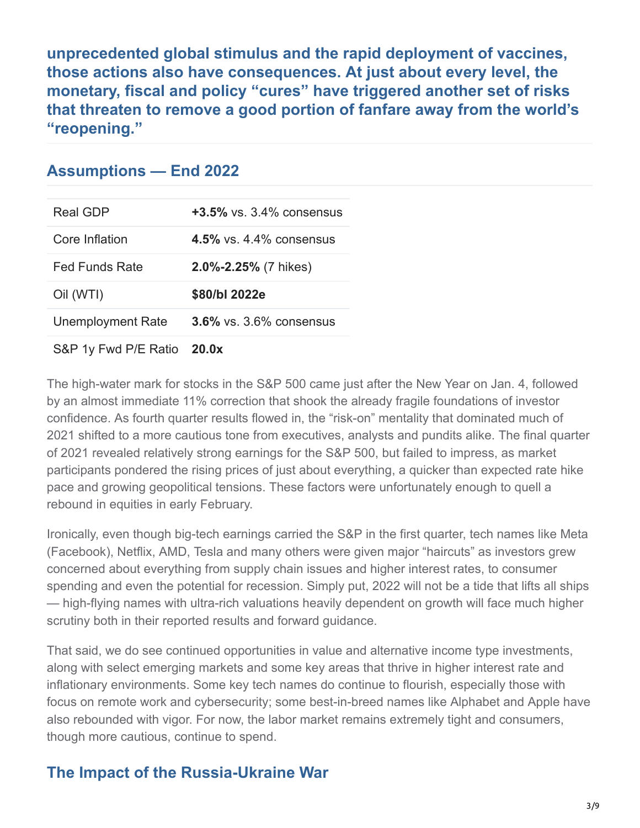**unprecedented global stimulus and the rapid deployment of vaccines, those actions also have consequences. At just about every level, the monetary, fiscal and policy "cures" have triggered another set of risks that threaten to remove a good portion of fanfare away from the world's "reopening."**

### **Assumptions — End 2022**

| <b>Real GDP</b>          | $+3.5\%$ vs. 3.4% consensus    |
|--------------------------|--------------------------------|
| Core Inflation           | 4.5% vs. $4.4\%$ consensus     |
| <b>Fed Funds Rate</b>    | $2.0\% - 2.25\%$ (7 hikes)     |
| Oil (WTI)                | \$80/bl 2022e                  |
| <b>Unemployment Rate</b> | <b>3.6%</b> vs. 3.6% consensus |
|                          |                                |

S&P 1y Fwd P/E Ratio **20.0x**

The high-water mark for stocks in the S&P 500 came just after the New Year on Jan. 4, followed by an almost immediate 11% correction that shook the already fragile foundations of investor confidence. As fourth quarter results flowed in, the "risk-on" mentality that dominated much of 2021 shifted to a more cautious tone from executives, analysts and pundits alike. The final quarter of 2021 revealed relatively strong earnings for the S&P 500, but failed to impress, as market participants pondered the rising prices of just about everything, a quicker than expected rate hike pace and growing geopolitical tensions. These factors were unfortunately enough to quell a rebound in equities in early February.

Ironically, even though big-tech earnings carried the S&P in the first quarter, tech names like Meta (Facebook), Netflix, AMD, Tesla and many others were given major "haircuts" as investors grew concerned about everything from supply chain issues and higher interest rates, to consumer spending and even the potential for recession. Simply put, 2022 will not be a tide that lifts all ships — high-flying names with ultra-rich valuations heavily dependent on growth will face much higher scrutiny both in their reported results and forward guidance.

That said, we do see continued opportunities in value and alternative income type investments, along with select emerging markets and some key areas that thrive in higher interest rate and inflationary environments. Some key tech names do continue to flourish, especially those with focus on remote work and cybersecurity; some best-in-breed names like Alphabet and Apple have also rebounded with vigor. For now, the labor market remains extremely tight and consumers, though more cautious, continue to spend.

## **The Impact of the Russia-Ukraine War**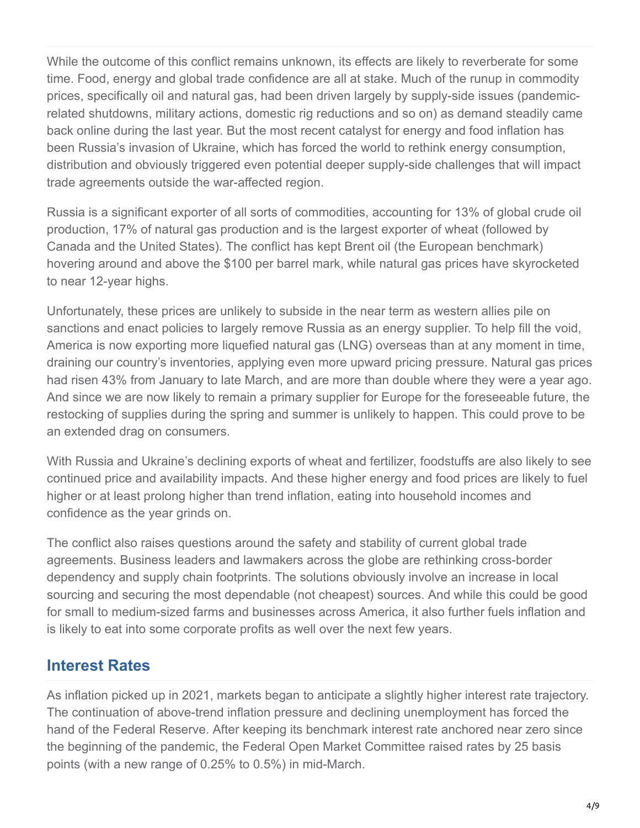While the outcome of this conflict remains unknown, its effects are likely to reverberate for some time. Food, energy and global trade confidence are all at stake. Much of the runup in commodity prices, specifically oil and natural gas, had been driven largely by supply-side issues (pandemicrelated shutdowns, military actions, domestic rig reductions and so on) as demand steadily came back online during the last year. But the most recent catalyst for energy and food inflation has been Russia's invasion of Ukraine, which has forced the world to rethink energy consumption, distribution and obviously triggered even potential deeper supply-side challenges that will impact trade agreements outside the war-affected region.

Russia is a significant exporter of all sorts of commodities, accounting for 13% of global crude oil production, 17% of natural gas production and is the largest exporter of wheat (followed by Canada and the United States). The conflict has kept Brent oil (the European benchmark) hovering around and above the \$100 per barrel mark, while natural gas prices have skyrocketed to near 12-year highs.

Unfortunately, these prices are unlikely to subside in the near term as western allies pile on sanctions and enact policies to largely remove Russia as an energy supplier. To help fill the void, America is now exporting more liquefied natural gas (LNG) overseas than at any moment in time, draining our country's inventories, applying even more upward pricing pressure. Natural gas prices had risen 43% from January to late March, and are more than double where they were a year ago. And since we are now likely to remain a primary supplier for Europe for the foreseeable future, the restocking of supplies during the spring and summer is unlikely to happen. This could prove to be an extended drag on consumers.

With Russia and Ukraine's declining exports of wheat and fertilizer, foodstuffs are also likely to see continued price and availability impacts. And these higher energy and food prices are likely to fuel higher or at least prolong higher than trend inflation, eating into household incomes and confidence as the year grinds on.

The conflict also raises questions around the safety and stability of current global trade agreements. Business leaders and lawmakers across the globe are rethinking cross-border dependency and supply chain footprints. The solutions obviously involve an increase in local sourcing and securing the most dependable (not cheapest) sources. And while this could be good for small to medium-sized farms and businesses across America, it also further fuels inflation and is likely to eat into some corporate profits as well over the next few years.

## **Interest Rates**

As inflation picked up in 2021, markets began to anticipate a slightly higher interest rate trajectory. The continuation of above-trend inflation pressure and declining unemployment has forced the hand of the Federal Reserve. After keeping its benchmark interest rate anchored near zero since the beginning of the pandemic, the Federal Open Market Committee raised rates by 25 basis points (with a new range of 0.25% to 0.5%) in mid-March.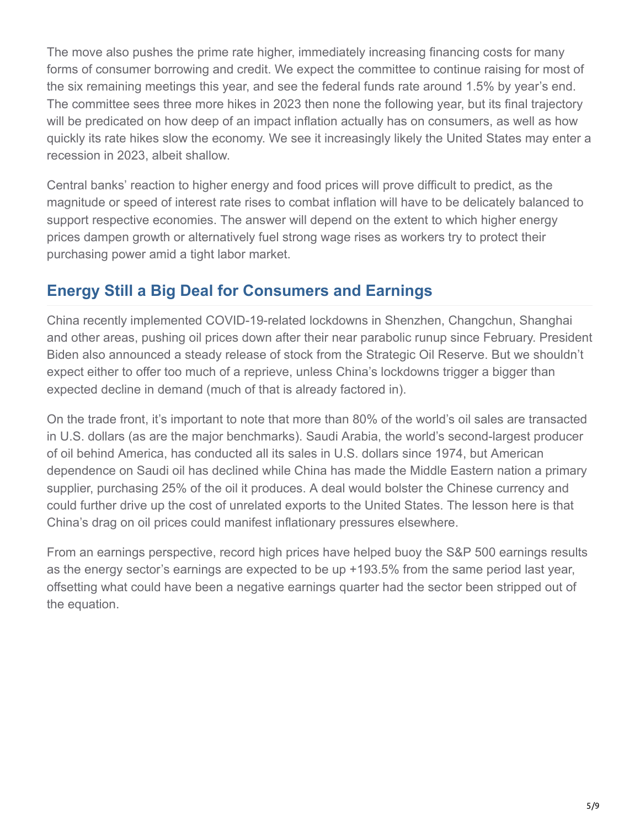The move also pushes the prime rate higher, immediately increasing financing costs for many forms of consumer borrowing and credit. We expect the committee to continue raising for most of the six remaining meetings this year, and see the federal funds rate around 1.5% by year's end. The committee sees three more hikes in 2023 then none the following year, but its final trajectory will be predicated on how deep of an impact inflation actually has on consumers, as well as how quickly its rate hikes slow the economy. We see it increasingly likely the United States may enter a recession in 2023, albeit shallow.

Central banks' reaction to higher energy and food prices will prove difficult to predict, as the magnitude or speed of interest rate rises to combat inflation will have to be delicately balanced to support respective economies. The answer will depend on the extent to which higher energy prices dampen growth or alternatively fuel strong wage rises as workers try to protect their purchasing power amid a tight labor market.

## **Energy Still a Big Deal for Consumers and Earnings**

China recently implemented COVID-19-related lockdowns in Shenzhen, Changchun, Shanghai and other areas, pushing oil prices down after their near parabolic runup since February. President Biden also announced a steady release of stock from the Strategic Oil Reserve. But we shouldn't expect either to offer too much of a reprieve, unless China's lockdowns trigger a bigger than expected decline in demand (much of that is already factored in).

On the trade front, it's important to note that more than 80% of the world's oil sales are transacted in U.S. dollars (as are the major benchmarks). Saudi Arabia, the world's second-largest producer of oil behind America, has conducted all its sales in U.S. dollars since 1974, but American dependence on Saudi oil has declined while China has made the Middle Eastern nation a primary supplier, purchasing 25% of the oil it produces. A deal would bolster the Chinese currency and could further drive up the cost of unrelated exports to the United States. The lesson here is that China's drag on oil prices could manifest inflationary pressures elsewhere.

From an earnings perspective, record high prices have helped buoy the S&P 500 earnings results as the energy sector's earnings are expected to be up +193.5% from the same period last year, offsetting what could have been a negative earnings quarter had the sector been stripped out of the equation.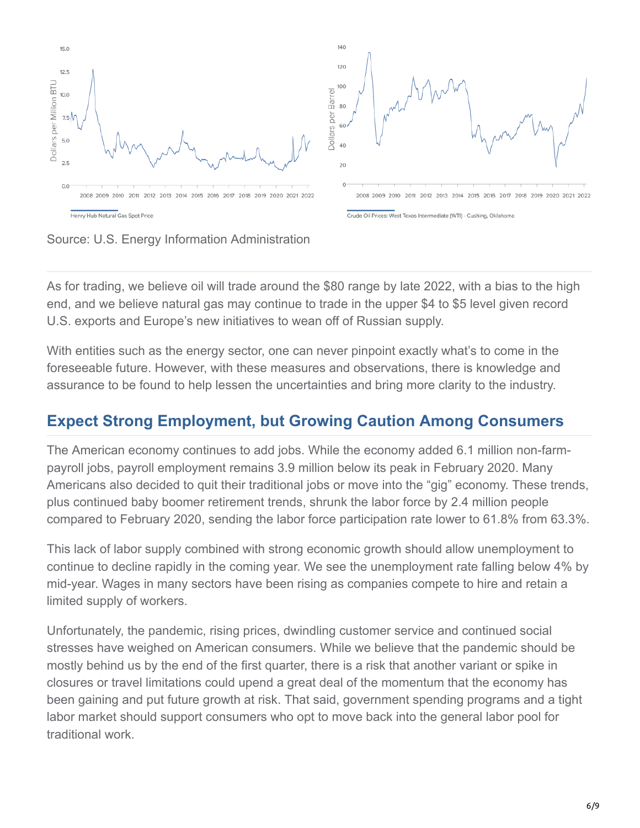

Source: U.S. Energy Information Administration

As for trading, we believe oil will trade around the \$80 range by late 2022, with a bias to the high end, and we believe natural gas may continue to trade in the upper \$4 to \$5 level given record U.S. exports and Europe's new initiatives to wean off of Russian supply.

With entities such as the energy sector, one can never pinpoint exactly what's to come in the foreseeable future. However, with these measures and observations, there is knowledge and assurance to be found to help lessen the uncertainties and bring more clarity to the industry.

# **Expect Strong Employment, but Growing Caution Among Consumers**

The American economy continues to add jobs. While the economy added 6.1 million non-farmpayroll jobs, payroll employment remains 3.9 million below its peak in February 2020. Many Americans also decided to quit their traditional jobs or move into the "gig" economy. These trends, plus continued baby boomer retirement trends, shrunk the labor force by 2.4 million people compared to February 2020, sending the labor force participation rate lower to 61.8% from 63.3%.

This lack of labor supply combined with strong economic growth should allow unemployment to continue to decline rapidly in the coming year. We see the unemployment rate falling below 4% by mid-year. Wages in many sectors have been rising as companies compete to hire and retain a limited supply of workers.

Unfortunately, the pandemic, rising prices, dwindling customer service and continued social stresses have weighed on American consumers. While we believe that the pandemic should be mostly behind us by the end of the first quarter, there is a risk that another variant or spike in closures or travel limitations could upend a great deal of the momentum that the economy has been gaining and put future growth at risk. That said, government spending programs and a tight labor market should support consumers who opt to move back into the general labor pool for traditional work.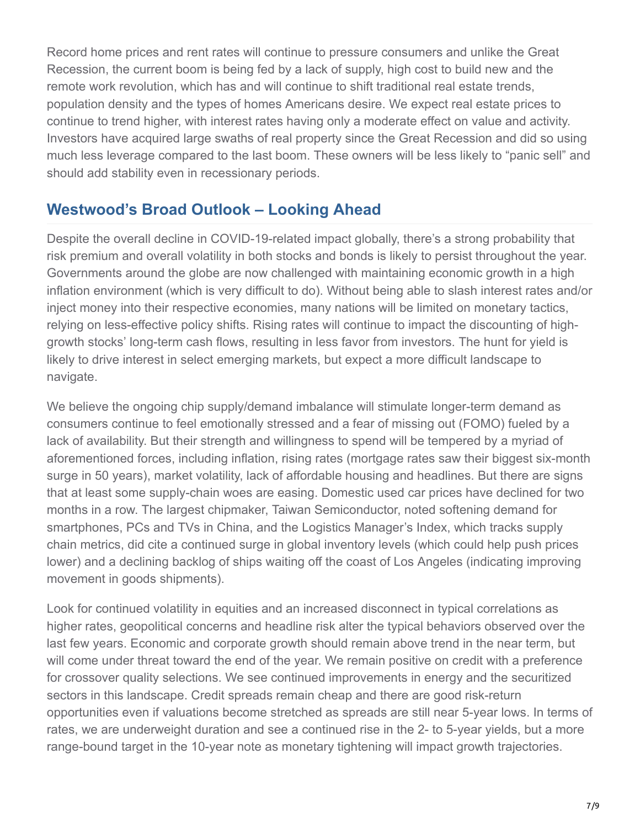Record home prices and rent rates will continue to pressure consumers and unlike the Great Recession, the current boom is being fed by a lack of supply, high cost to build new and the remote work revolution, which has and will continue to shift traditional real estate trends, population density and the types of homes Americans desire. We expect real estate prices to continue to trend higher, with interest rates having only a moderate effect on value and activity. Investors have acquired large swaths of real property since the Great Recession and did so using much less leverage compared to the last boom. These owners will be less likely to "panic sell" and should add stability even in recessionary periods.

## **Westwood's Broad Outlook – Looking Ahead**

Despite the overall decline in COVID-19-related impact globally, there's a strong probability that risk premium and overall volatility in both stocks and bonds is likely to persist throughout the year. Governments around the globe are now challenged with maintaining economic growth in a high inflation environment (which is very difficult to do). Without being able to slash interest rates and/or inject money into their respective economies, many nations will be limited on monetary tactics, relying on less-effective policy shifts. Rising rates will continue to impact the discounting of highgrowth stocks' long-term cash flows, resulting in less favor from investors. The hunt for yield is likely to drive interest in select emerging markets, but expect a more difficult landscape to navigate.

We believe the ongoing chip supply/demand imbalance will stimulate longer-term demand as consumers continue to feel emotionally stressed and a fear of missing out (FOMO) fueled by a lack of availability. But their strength and willingness to spend will be tempered by a myriad of aforementioned forces, including inflation, rising rates (mortgage rates saw their biggest six-month surge in 50 years), market volatility, lack of affordable housing and headlines. But there are signs that at least some supply-chain woes are easing. Domestic used car prices have declined for two months in a row. The largest chipmaker, Taiwan Semiconductor, noted softening demand for smartphones, PCs and TVs in China, and the Logistics Manager's Index, which tracks supply chain metrics, did cite a continued surge in global inventory levels (which could help push prices lower) and a declining backlog of ships waiting off the coast of Los Angeles (indicating improving movement in goods shipments).

Look for continued volatility in equities and an increased disconnect in typical correlations as higher rates, geopolitical concerns and headline risk alter the typical behaviors observed over the last few years. Economic and corporate growth should remain above trend in the near term, but will come under threat toward the end of the year. We remain positive on credit with a preference for crossover quality selections. We see continued improvements in energy and the securitized sectors in this landscape. Credit spreads remain cheap and there are good risk-return opportunities even if valuations become stretched as spreads are still near 5-year lows. In terms of rates, we are underweight duration and see a continued rise in the 2- to 5-year yields, but a more range-bound target in the 10-year note as monetary tightening will impact growth trajectories.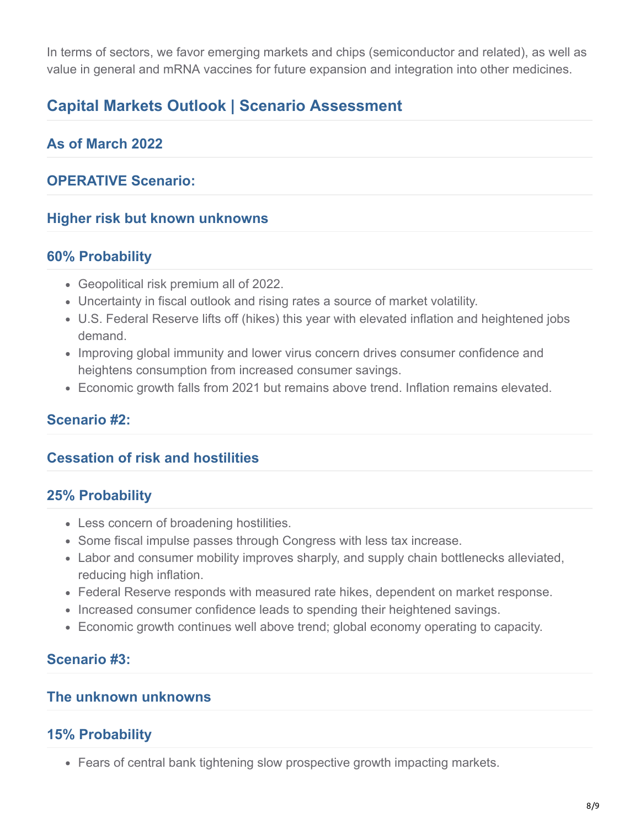In terms of sectors, we favor emerging markets and chips (semiconductor and related), as well as value in general and mRNA vaccines for future expansion and integration into other medicines.

# **Capital Markets Outlook | Scenario Assessment**

## **As of March 2022**

#### **OPERATIVE Scenario:**

#### **Higher risk but known unknowns**

#### **60% Probability**

- Geopolitical risk premium all of 2022.
- Uncertainty in fiscal outlook and rising rates a source of market volatility.
- U.S. Federal Reserve lifts off (hikes) this year with elevated inflation and heightened jobs demand.
- Improving global immunity and lower virus concern drives consumer confidence and heightens consumption from increased consumer savings.
- Economic growth falls from 2021 but remains above trend. Inflation remains elevated.

#### **Scenario #2:**

#### **Cessation of risk and hostilities**

#### **25% Probability**

- Less concern of broadening hostilities.
- Some fiscal impulse passes through Congress with less tax increase.
- Labor and consumer mobility improves sharply, and supply chain bottlenecks alleviated, reducing high inflation.
- Federal Reserve responds with measured rate hikes, dependent on market response.
- Increased consumer confidence leads to spending their heightened savings.
- Economic growth continues well above trend; global economy operating to capacity.

#### **Scenario #3:**

#### **The unknown unknowns**

#### **15% Probability**

Fears of central bank tightening slow prospective growth impacting markets.